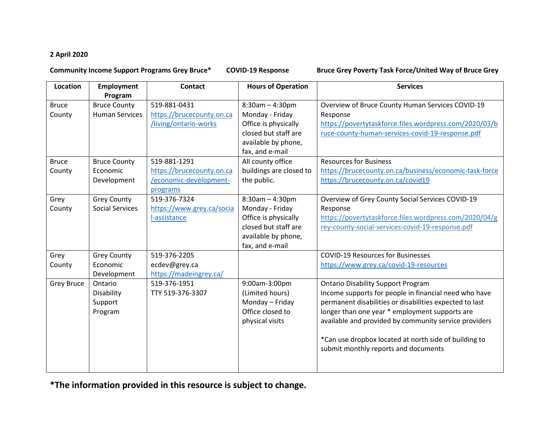## **2 April 2020**

## **Community Income Support Programs Grey Bruce\* COVID-19 Response Bruce Grey Poverty Task Force/United Way of Bruce Grey**

| Location          | <b>Employment</b>      | <b>Contact</b>            | <b>Hours of Operation</b> | <b>Services</b>                                         |
|-------------------|------------------------|---------------------------|---------------------------|---------------------------------------------------------|
|                   | Program                |                           |                           |                                                         |
| <b>Bruce</b>      | <b>Bruce County</b>    | 519-881-0431              | $8:30am - 4:30pm$         | Overview of Bruce County Human Services COVID-19        |
| County            | <b>Human Services</b>  | https://brucecounty.on.ca | Monday - Friday           | Response                                                |
|                   |                        | /living/ontario-works     | Office is physically      | https://povertytaskforce.files.wordpress.com/2020/03/b  |
|                   |                        |                           | closed but staff are      | ruce-county-human-services-covid-19-response.pdf        |
|                   |                        |                           | available by phone,       |                                                         |
|                   |                        |                           | fax, and e-mail           |                                                         |
| <b>Bruce</b>      | <b>Bruce County</b>    | 519-881-1291              | All county office         | <b>Resources for Business</b>                           |
| County            | Economic               | https://brucecounty.on.ca | buildings are closed to   | https://brucecounty.on.ca/business/economic-task-force  |
|                   | Development            | /economic-development-    | the public.               | https://brucecounty.on.ca/covid19                       |
|                   |                        | programs                  |                           |                                                         |
| Grey              | <b>Grey County</b>     | 519-376-7324              | $8:30am - 4:30pm$         | Overview of Grey County Social Services COVID-19        |
| County            | <b>Social Services</b> | https://www.grey.ca/socia | Monday - Friday           | Response                                                |
|                   |                        | l-assistance              | Office is physically      | https://povertytaskforce.files.wordpress.com/2020/04/g  |
|                   |                        |                           | closed but staff are      | rey-county-social-services-covid-19-response.pdf        |
|                   |                        |                           | available by phone,       |                                                         |
|                   |                        |                           | fax, and e-mail           |                                                         |
| Grey              | <b>Grey County</b>     | 519-376-2205              |                           | <b>COVID-19 Resources for Businesses</b>                |
| County            | Economic               | ecdev@grey.ca             |                           | https://www.grey.ca/covid-19-resources                  |
|                   | Development            | https://madeingrey.ca/    |                           |                                                         |
| <b>Grey Bruce</b> | Ontario                | 519-376-1951              | 9:00am-3:00pm             | <b>Ontario Disability Support Program</b>               |
|                   | Disability             | TTY 519-376-3307          | (Limited hours)           | Income supports for people in financial need who have   |
|                   | Support                |                           | Monday - Friday           | permanent disabilities or disabilities expected to last |
|                   | Program                |                           | Office closed to          | longer than one year * employment supports are          |
|                   |                        |                           | physical visits           | available and provided by community service providers   |
|                   |                        |                           |                           |                                                         |
|                   |                        |                           |                           | *Can use dropbox located at north side of building to   |
|                   |                        |                           |                           | submit monthly reports and documents                    |
|                   |                        |                           |                           |                                                         |
|                   |                        |                           |                           |                                                         |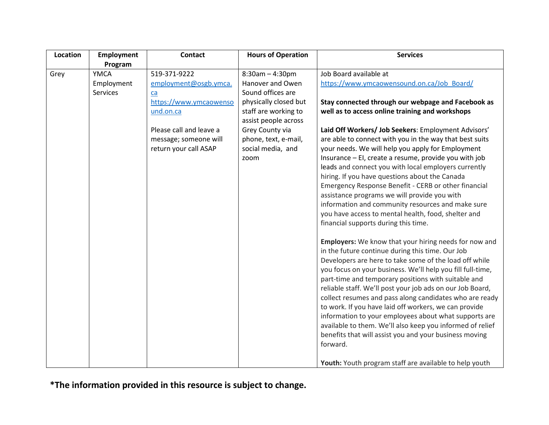| Location | <b>Employment</b>                     | <b>Contact</b>                                                                                                                                                  | <b>Hours of Operation</b>                                                                                                                                                                                   | <b>Services</b>                                                                                                                                                                                                                                                                                                                                                                                                                                                                                                                                                                                                                                                                                                                                                                                                                                                                                         |
|----------|---------------------------------------|-----------------------------------------------------------------------------------------------------------------------------------------------------------------|-------------------------------------------------------------------------------------------------------------------------------------------------------------------------------------------------------------|---------------------------------------------------------------------------------------------------------------------------------------------------------------------------------------------------------------------------------------------------------------------------------------------------------------------------------------------------------------------------------------------------------------------------------------------------------------------------------------------------------------------------------------------------------------------------------------------------------------------------------------------------------------------------------------------------------------------------------------------------------------------------------------------------------------------------------------------------------------------------------------------------------|
|          | Program                               |                                                                                                                                                                 |                                                                                                                                                                                                             |                                                                                                                                                                                                                                                                                                                                                                                                                                                                                                                                                                                                                                                                                                                                                                                                                                                                                                         |
| Grey     | <b>YMCA</b><br>Employment<br>Services | 519-371-9222<br>employment@osgb.ymca.<br>ca<br>https://www.ymcaowenso<br>und.on.ca<br>Please call and leave a<br>message; someone will<br>return your call ASAP | $8:30am - 4:30pm$<br>Hanover and Owen<br>Sound offices are<br>physically closed but<br>staff are working to<br>assist people across<br>Grey County via<br>phone, text, e-mail,<br>social media, and<br>zoom | Job Board available at<br>https://www.ymcaowensound.on.ca/Job Board/<br>Stay connected through our webpage and Facebook as<br>well as to access online training and workshops<br>Laid Off Workers/ Job Seekers: Employment Advisors'<br>are able to connect with you in the way that best suits<br>your needs. We will help you apply for Employment<br>Insurance - EI, create a resume, provide you with job<br>leads and connect you with local employers currently<br>hiring. If you have questions about the Canada<br>Emergency Response Benefit - CERB or other financial<br>assistance programs we will provide you with<br>information and community resources and make sure<br>you have access to mental health, food, shelter and<br>financial supports during this time.<br><b>Employers:</b> We know that your hiring needs for now and<br>in the future continue during this time. Our Job |
|          |                                       |                                                                                                                                                                 |                                                                                                                                                                                                             | Developers are here to take some of the load off while<br>you focus on your business. We'll help you fill full-time,<br>part-time and temporary positions with suitable and<br>reliable staff. We'll post your job ads on our Job Board,<br>collect resumes and pass along candidates who are ready<br>to work. If you have laid off workers, we can provide<br>information to your employees about what supports are<br>available to them. We'll also keep you informed of relief<br>benefits that will assist you and your business moving<br>forward.<br>Youth: Youth program staff are available to help youth                                                                                                                                                                                                                                                                                      |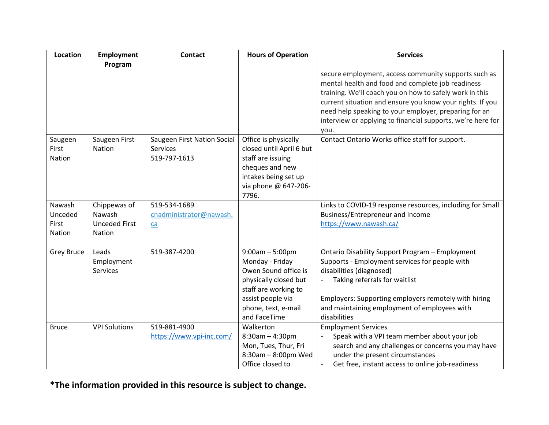| <b>Location</b>                      | <b>Employment</b>                                        | <b>Contact</b>                                                 | <b>Hours of Operation</b>                                                                                                                                                 | <b>Services</b>                                                                                                                                                                                                                                                                                                                                                   |
|--------------------------------------|----------------------------------------------------------|----------------------------------------------------------------|---------------------------------------------------------------------------------------------------------------------------------------------------------------------------|-------------------------------------------------------------------------------------------------------------------------------------------------------------------------------------------------------------------------------------------------------------------------------------------------------------------------------------------------------------------|
|                                      | Program                                                  |                                                                |                                                                                                                                                                           |                                                                                                                                                                                                                                                                                                                                                                   |
|                                      |                                                          |                                                                |                                                                                                                                                                           | secure employment, access community supports such as<br>mental health and food and complete job readiness<br>training. We'll coach you on how to safely work in this<br>current situation and ensure you know your rights. If you<br>need help speaking to your employer, preparing for an<br>interview or applying to financial supports, we're here for<br>vou. |
| Saugeen<br>First<br>Nation           | Saugeen First<br><b>Nation</b>                           | Saugeen First Nation Social<br><b>Services</b><br>519-797-1613 | Office is physically<br>closed until April 6 but<br>staff are issuing<br>cheques and new<br>intakes being set up<br>via phone @ 647-206-<br>7796.                         | Contact Ontario Works office staff for support.                                                                                                                                                                                                                                                                                                                   |
| Nawash<br>Unceded<br>First<br>Nation | Chippewas of<br>Nawash<br><b>Unceded First</b><br>Nation | 519-534-1689<br>cnadministrator@nawash.<br>ca                  |                                                                                                                                                                           | Links to COVID-19 response resources, including for Small<br>Business/Entrepreneur and Income<br>https://www.nawash.ca/                                                                                                                                                                                                                                           |
| <b>Grey Bruce</b>                    | Leads<br>Employment<br><b>Services</b>                   | 519-387-4200                                                   | $9:00am - 5:00pm$<br>Monday - Friday<br>Owen Sound office is<br>physically closed but<br>staff are working to<br>assist people via<br>phone, text, e-mail<br>and FaceTime | <b>Ontario Disability Support Program - Employment</b><br>Supports - Employment services for people with<br>disabilities (diagnosed)<br>Taking referrals for waitlist<br>Employers: Supporting employers remotely with hiring<br>and maintaining employment of employees with<br>disabilities                                                                     |
| <b>Bruce</b>                         | <b>VPI Solutions</b>                                     | 519-881-4900<br>https://www.vpi-inc.com/                       | Walkerton<br>$8:30am - 4:30pm$<br>Mon, Tues, Thur, Fri<br>8:30am - 8:00pm Wed<br>Office closed to                                                                         | <b>Employment Services</b><br>Speak with a VPI team member about your job<br>search and any challenges or concerns you may have<br>under the present circumstances<br>Get free, instant access to online job-readiness                                                                                                                                            |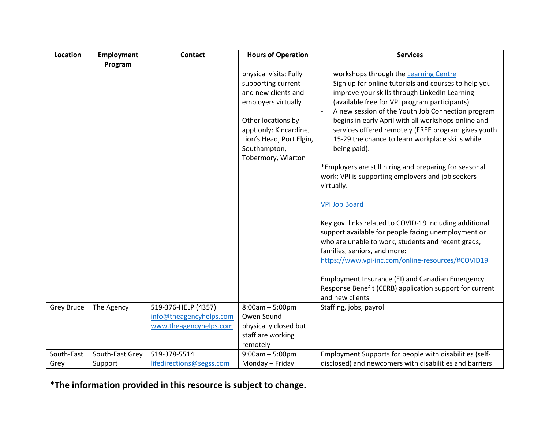| <b>Location</b>   | <b>Employment</b> | <b>Contact</b>           | <b>Hours of Operation</b>                                                                                                                                                                                    | <b>Services</b>                                                                                                                                                                                                                                                                                                                                                                                                                                                                                                                                                                                                                                                                                               |
|-------------------|-------------------|--------------------------|--------------------------------------------------------------------------------------------------------------------------------------------------------------------------------------------------------------|---------------------------------------------------------------------------------------------------------------------------------------------------------------------------------------------------------------------------------------------------------------------------------------------------------------------------------------------------------------------------------------------------------------------------------------------------------------------------------------------------------------------------------------------------------------------------------------------------------------------------------------------------------------------------------------------------------------|
|                   | Program           |                          |                                                                                                                                                                                                              |                                                                                                                                                                                                                                                                                                                                                                                                                                                                                                                                                                                                                                                                                                               |
|                   |                   |                          | physical visits; Fully<br>supporting current<br>and new clients and<br>employers virtually<br>Other locations by<br>appt only: Kincardine,<br>Lion's Head, Port Elgin,<br>Southampton,<br>Tobermory, Wiarton | workshops through the Learning Centre<br>Sign up for online tutorials and courses to help you<br>improve your skills through LinkedIn Learning<br>(available free for VPI program participants)<br>A new session of the Youth Job Connection program<br>begins in early April with all workshops online and<br>services offered remotely (FREE program gives youth<br>15-29 the chance to learn workplace skills while<br>being paid).<br>*Employers are still hiring and preparing for seasonal<br>work; VPI is supporting employers and job seekers<br>virtually.<br><b>VPI Job Board</b><br>Key gov. links related to COVID-19 including additional<br>support available for people facing unemployment or |
|                   |                   |                          |                                                                                                                                                                                                              | who are unable to work, students and recent grads,<br>families, seniors, and more:<br>https://www.vpi-inc.com/online-resources/#COVID19                                                                                                                                                                                                                                                                                                                                                                                                                                                                                                                                                                       |
|                   |                   |                          |                                                                                                                                                                                                              | Employment Insurance (EI) and Canadian Emergency<br>Response Benefit (CERB) application support for current<br>and new clients                                                                                                                                                                                                                                                                                                                                                                                                                                                                                                                                                                                |
| <b>Grey Bruce</b> | The Agency        | 519-376-HELP (4357)      | $8:00am - 5:00pm$                                                                                                                                                                                            | Staffing, jobs, payroll                                                                                                                                                                                                                                                                                                                                                                                                                                                                                                                                                                                                                                                                                       |
|                   |                   | info@theagencyhelps.com  | Owen Sound                                                                                                                                                                                                   |                                                                                                                                                                                                                                                                                                                                                                                                                                                                                                                                                                                                                                                                                                               |
|                   |                   | www.theagencyhelps.com   | physically closed but                                                                                                                                                                                        |                                                                                                                                                                                                                                                                                                                                                                                                                                                                                                                                                                                                                                                                                                               |
|                   |                   |                          | staff are working                                                                                                                                                                                            |                                                                                                                                                                                                                                                                                                                                                                                                                                                                                                                                                                                                                                                                                                               |
|                   |                   |                          | remotely                                                                                                                                                                                                     |                                                                                                                                                                                                                                                                                                                                                                                                                                                                                                                                                                                                                                                                                                               |
| South-East        | South-East Grey   | 519-378-5514             | $9:00am - 5:00pm$                                                                                                                                                                                            | Employment Supports for people with disabilities (self-                                                                                                                                                                                                                                                                                                                                                                                                                                                                                                                                                                                                                                                       |
| Grey              | Support           | lifedirections@segss.com | Monday - Friday                                                                                                                                                                                              | disclosed) and newcomers with disabilities and barriers                                                                                                                                                                                                                                                                                                                                                                                                                                                                                                                                                                                                                                                       |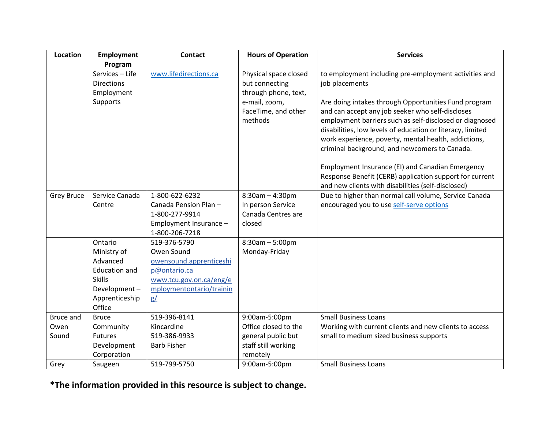| Location          | Employment                            | <b>Contact</b>                 | <b>Hours of Operation</b> | <b>Services</b>                                                                                       |
|-------------------|---------------------------------------|--------------------------------|---------------------------|-------------------------------------------------------------------------------------------------------|
|                   | Program                               |                                |                           |                                                                                                       |
|                   | Services - Life                       | www.lifedirections.ca          | Physical space closed     | to employment including pre-employment activities and                                                 |
|                   | <b>Directions</b>                     |                                | but connecting            | job placements                                                                                        |
|                   | Employment                            |                                | through phone, text,      |                                                                                                       |
|                   | Supports                              |                                | e-mail, zoom,             | Are doing intakes through Opportunities Fund program                                                  |
|                   |                                       |                                | FaceTime, and other       | and can accept any job seeker who self-discloses                                                      |
|                   |                                       |                                | methods                   | employment barriers such as self-disclosed or diagnosed                                               |
|                   |                                       |                                |                           | disabilities, low levels of education or literacy, limited                                            |
|                   |                                       |                                |                           | work experience, poverty, mental health, addictions,<br>criminal background, and newcomers to Canada. |
|                   |                                       |                                |                           |                                                                                                       |
|                   |                                       |                                |                           | Employment Insurance (EI) and Canadian Emergency                                                      |
|                   |                                       |                                |                           | Response Benefit (CERB) application support for current                                               |
|                   |                                       |                                |                           | and new clients with disabilities (self-disclosed)                                                    |
| <b>Grey Bruce</b> | Service Canada                        | 1-800-622-6232                 | $8:30am - 4:30pm$         | Due to higher than normal call volume, Service Canada                                                 |
|                   | Centre                                | Canada Pension Plan-           | In person Service         | encouraged you to use self-serve options                                                              |
|                   |                                       | 1-800-277-9914                 | Canada Centres are        |                                                                                                       |
|                   |                                       | Employment Insurance -         | closed                    |                                                                                                       |
|                   |                                       | 1-800-206-7218                 |                           |                                                                                                       |
|                   | Ontario                               | 519-376-5790                   | $8:30am - 5:00pm$         |                                                                                                       |
|                   | Ministry of                           | Owen Sound                     | Monday-Friday             |                                                                                                       |
|                   | Advanced                              | owensound.apprenticeshi        |                           |                                                                                                       |
|                   | <b>Education and</b><br><b>Skills</b> | p@ontario.ca                   |                           |                                                                                                       |
|                   |                                       | www.tcu.gov.on.ca/eng/e        |                           |                                                                                                       |
|                   | Development-<br>Apprenticeship        | mploymentontario/trainin<br>g/ |                           |                                                                                                       |
|                   | Office                                |                                |                           |                                                                                                       |
| <b>Bruce and</b>  | <b>Bruce</b>                          | 519-396-8141                   | 9:00am-5:00pm             | <b>Small Business Loans</b>                                                                           |
| Owen              | Community                             | Kincardine                     | Office closed to the      | Working with current clients and new clients to access                                                |
| Sound             | <b>Futures</b>                        | 519-386-9933                   | general public but        | small to medium sized business supports                                                               |
|                   | Development                           | <b>Barb Fisher</b>             | staff still working       |                                                                                                       |
|                   | Corporation                           |                                | remotely                  |                                                                                                       |
| Grey              | Saugeen                               | 519-799-5750                   | 9:00am-5:00pm             | <b>Small Business Loans</b>                                                                           |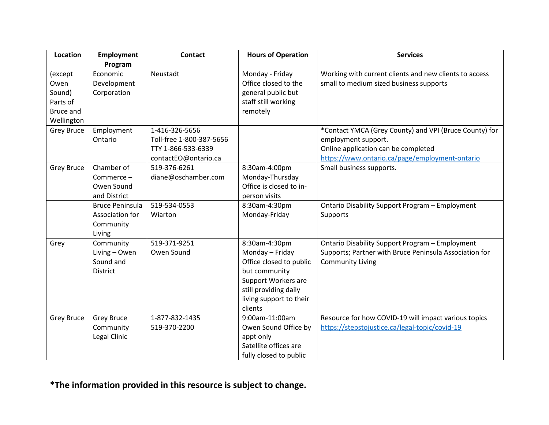| Location                                                         | <b>Employment</b>                                                | <b>Contact</b>                                                                           | <b>Hours of Operation</b>                                                                                                                                          | <b>Services</b>                                                                                                                                                        |
|------------------------------------------------------------------|------------------------------------------------------------------|------------------------------------------------------------------------------------------|--------------------------------------------------------------------------------------------------------------------------------------------------------------------|------------------------------------------------------------------------------------------------------------------------------------------------------------------------|
|                                                                  | Program                                                          |                                                                                          |                                                                                                                                                                    |                                                                                                                                                                        |
| (except<br>Owen<br>Sound)<br>Parts of<br>Bruce and<br>Wellington | Economic<br>Development<br>Corporation                           | Neustadt                                                                                 | Monday - Friday<br>Office closed to the<br>general public but<br>staff still working<br>remotely                                                                   | Working with current clients and new clients to access<br>small to medium sized business supports                                                                      |
| <b>Grey Bruce</b>                                                | Employment<br>Ontario                                            | 1-416-326-5656<br>Toll-free 1-800-387-5656<br>TTY 1-866-533-6339<br>contactEO@ontario.ca |                                                                                                                                                                    | *Contact YMCA (Grey County) and VPI (Bruce County) for<br>employment support.<br>Online application can be completed<br>https://www.ontario.ca/page/employment-ontario |
| Grey Bruce                                                       | Chamber of<br>Commerce-<br>Owen Sound<br>and District            | 519-376-6261<br>diane@oschamber.com                                                      | 8:30am-4:00pm<br>Monday-Thursday<br>Office is closed to in-<br>person visits                                                                                       | Small business supports.                                                                                                                                               |
|                                                                  | <b>Bruce Peninsula</b><br>Association for<br>Community<br>Living | 519-534-0553<br>Wiarton                                                                  | 8:30am-4:30pm<br>Monday-Friday                                                                                                                                     | Ontario Disability Support Program - Employment<br>Supports                                                                                                            |
| Grey                                                             | Community<br>Living - Owen<br>Sound and<br><b>District</b>       | 519-371-9251<br>Owen Sound                                                               | 8:30am-4:30pm<br>Monday - Friday<br>Office closed to public<br>but community<br>Support Workers are<br>still providing daily<br>living support to their<br>clients | Ontario Disability Support Program - Employment<br>Supports; Partner with Bruce Peninsula Association for<br><b>Community Living</b>                                   |
| <b>Grey Bruce</b>                                                | <b>Grey Bruce</b><br>Community<br>Legal Clinic                   | 1-877-832-1435<br>519-370-2200                                                           | 9:00am-11:00am<br>Owen Sound Office by<br>appt only<br>Satellite offices are<br>fully closed to public                                                             | Resource for how COVID-19 will impact various topics<br>https://stepstojustice.ca/legal-topic/covid-19                                                                 |